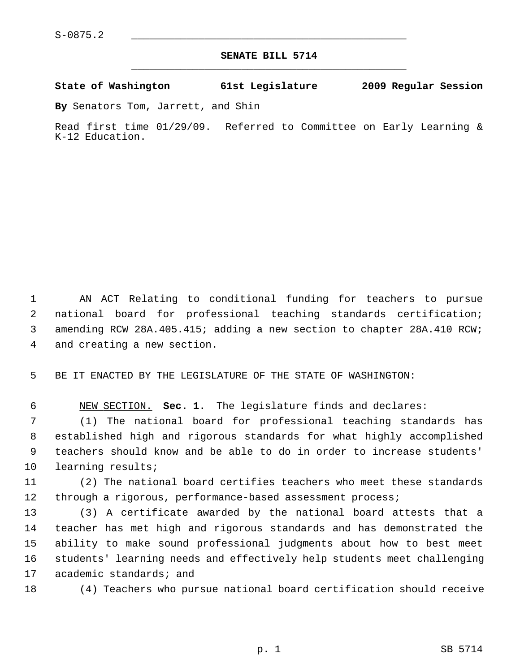## **SENATE BILL 5714** \_\_\_\_\_\_\_\_\_\_\_\_\_\_\_\_\_\_\_\_\_\_\_\_\_\_\_\_\_\_\_\_\_\_\_\_\_\_\_\_\_\_\_\_\_

## **State of Washington 61st Legislature 2009 Regular Session**

**By** Senators Tom, Jarrett, and Shin

Read first time 01/29/09. Referred to Committee on Early Learning & K-12 Education.

 1 AN ACT Relating to conditional funding for teachers to pursue 2 national board for professional teaching standards certification; 3 amending RCW 28A.405.415; adding a new section to chapter 28A.410 RCW; 4 and creating a new section.

5 BE IT ENACTED BY THE LEGISLATURE OF THE STATE OF WASHINGTON:

6 NEW SECTION. **Sec. 1.** The legislature finds and declares:

 7 (1) The national board for professional teaching standards has 8 established high and rigorous standards for what highly accomplished 9 teachers should know and be able to do in order to increase students' 10 learning results;

11 (2) The national board certifies teachers who meet these standards 12 through a rigorous, performance-based assessment process;

13 (3) A certificate awarded by the national board attests that a 14 teacher has met high and rigorous standards and has demonstrated the 15 ability to make sound professional judgments about how to best meet 16 students' learning needs and effectively help students meet challenging 17 academic standards; and

18 (4) Teachers who pursue national board certification should receive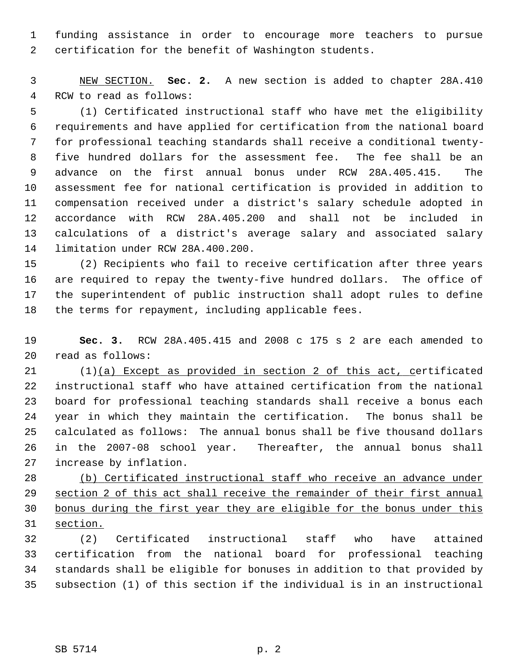1 funding assistance in order to encourage more teachers to pursue 2 certification for the benefit of Washington students.

 3 NEW SECTION. **Sec. 2.** A new section is added to chapter 28A.410 4 RCW to read as follows:

 5 (1) Certificated instructional staff who have met the eligibility 6 requirements and have applied for certification from the national board 7 for professional teaching standards shall receive a conditional twenty- 8 five hundred dollars for the assessment fee. The fee shall be an 9 advance on the first annual bonus under RCW 28A.405.415. The 10 assessment fee for national certification is provided in addition to 11 compensation received under a district's salary schedule adopted in 12 accordance with RCW 28A.405.200 and shall not be included in 13 calculations of a district's average salary and associated salary 14 limitation under RCW 28A.400.200.

15 (2) Recipients who fail to receive certification after three years 16 are required to repay the twenty-five hundred dollars. The office of 17 the superintendent of public instruction shall adopt rules to define 18 the terms for repayment, including applicable fees.

19 **Sec. 3.** RCW 28A.405.415 and 2008 c 175 s 2 are each amended to 20 read as follows:

21 (1)(a) Except as provided in section 2 of this act, certificated 22 instructional staff who have attained certification from the national 23 board for professional teaching standards shall receive a bonus each 24 year in which they maintain the certification. The bonus shall be 25 calculated as follows: The annual bonus shall be five thousand dollars 26 in the 2007-08 school year. Thereafter, the annual bonus shall 27 increase by inflation.

 (b) Certificated instructional staff who receive an advance under section 2 of this act shall receive the remainder of their first annual bonus during the first year they are eligible for the bonus under this 31 section.

32 (2) Certificated instructional staff who have attained 33 certification from the national board for professional teaching 34 standards shall be eligible for bonuses in addition to that provided by 35 subsection (1) of this section if the individual is in an instructional